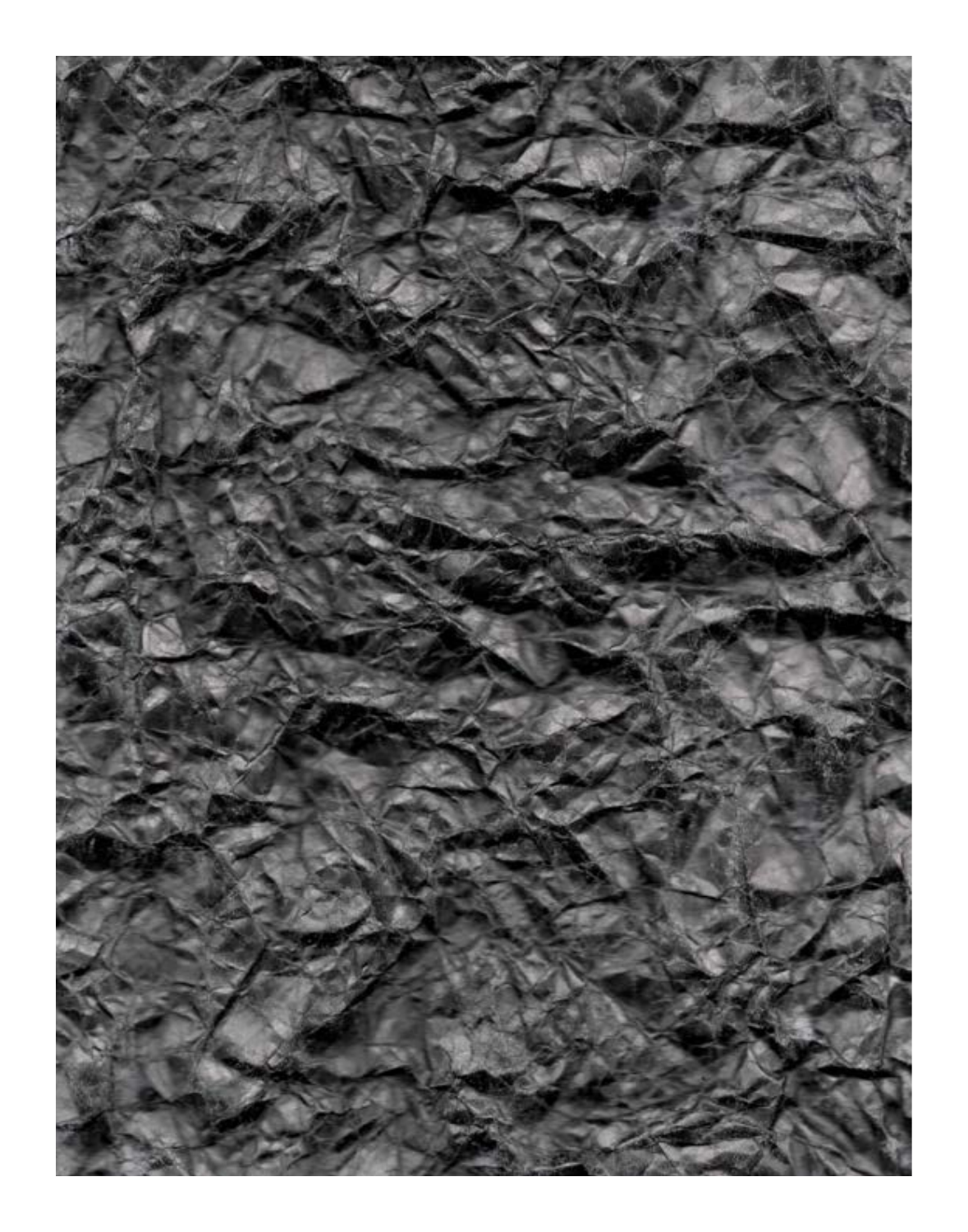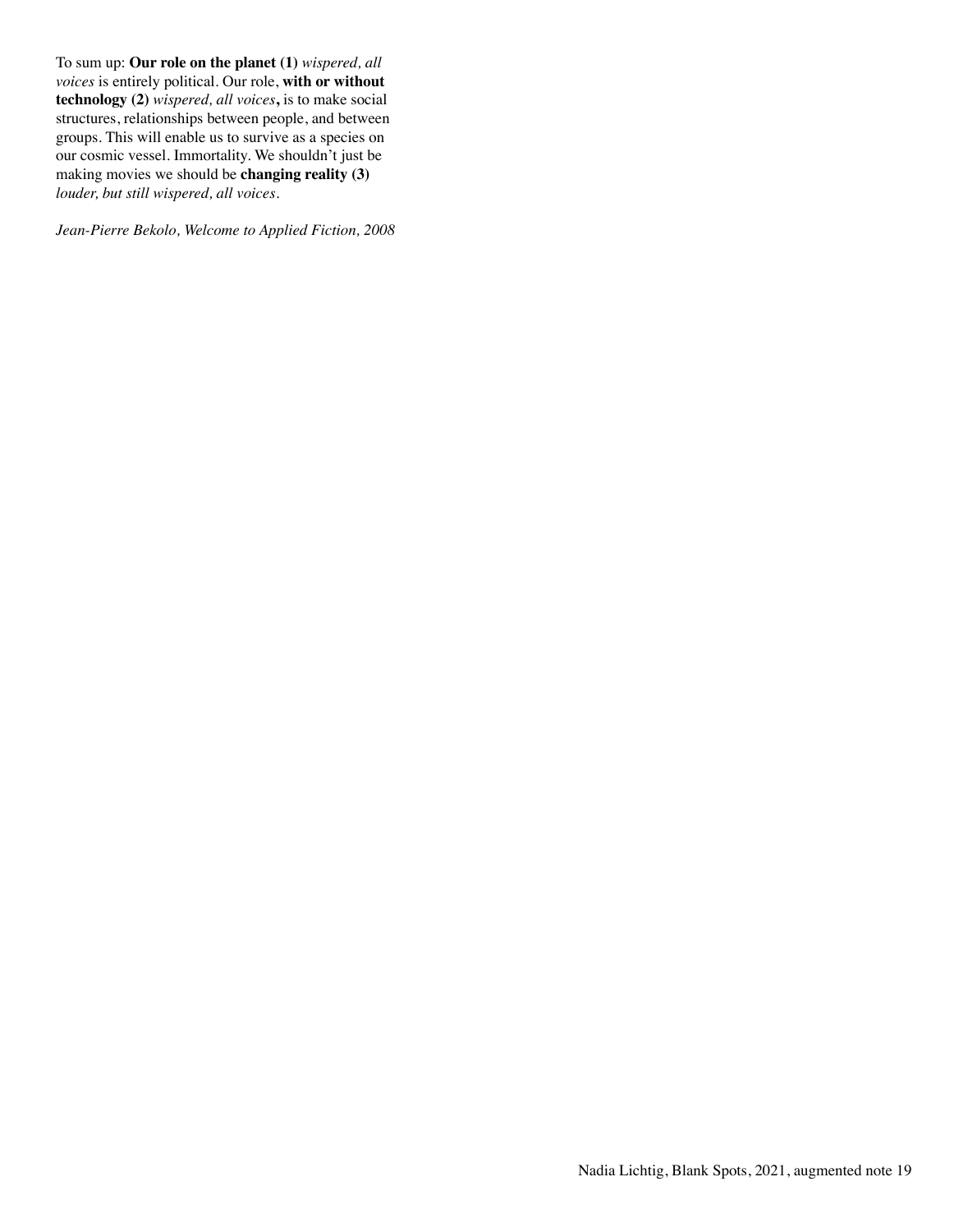To sum up: **Our role on the planet (1)** *wispered, all voices* is entirely political. Our role, **with or without technology (2)** *wispered, all voices***,** is to make social structures, relationships between people, and between groups. This will enable us to survive as a species on our cosmic vessel. Immortality. We shouldn't just be making movies we should be **changing reality (3)**  *louder, but still wispered, all voices*.

*Jean-Pierre Bekolo, Welcome to Applied Fiction, 2008*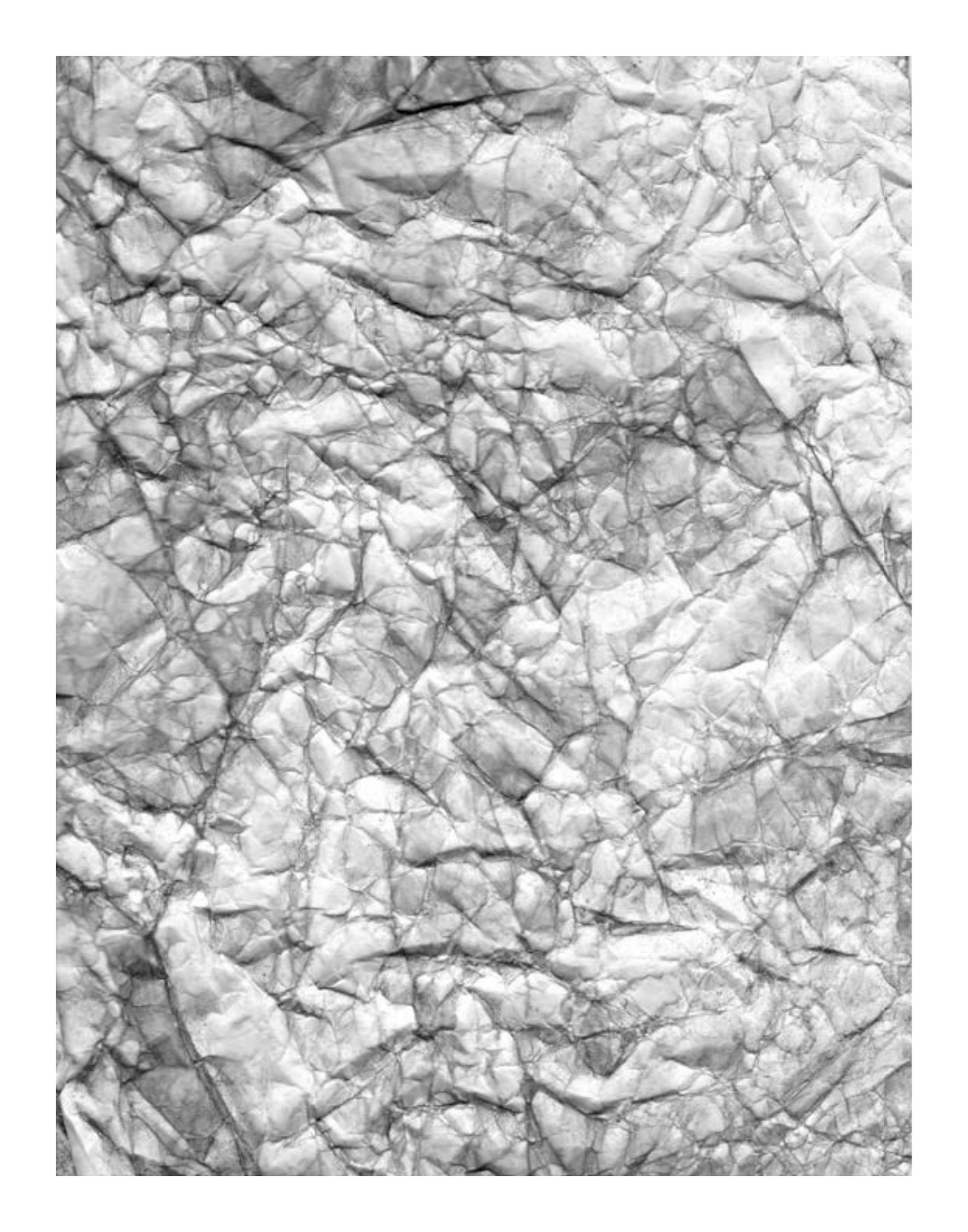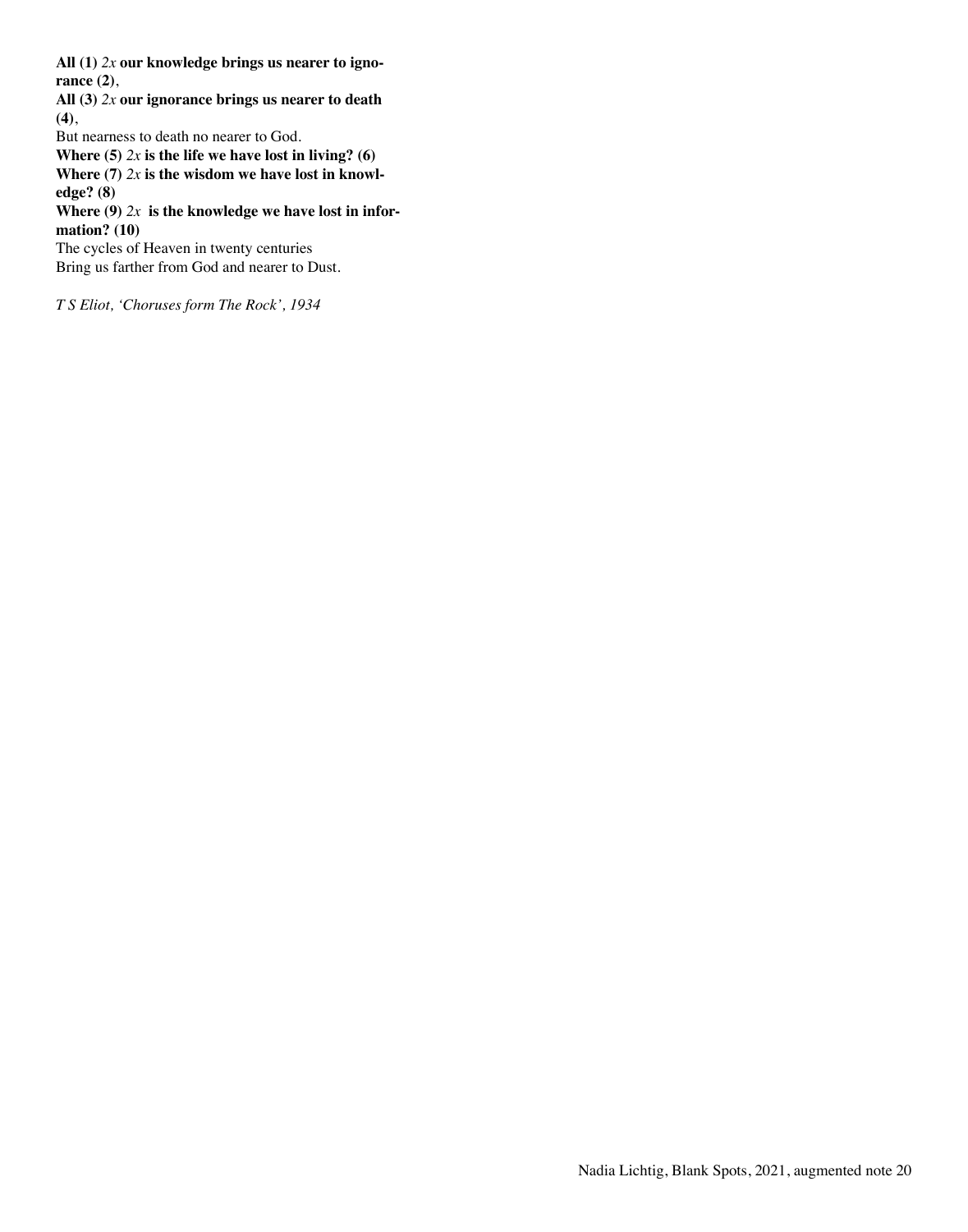**All (1)** *2x* **our knowledge brings us nearer to ignorance (2)**,

**All (3)** *2x* **our ignorance brings us nearer to death (4)**,

But nearness to death no nearer to God.

**Where (5)**  $2x$  **is the life we have lost in living? (6)** 

**Where (7)** *2x* **is the wisdom we have lost in knowledge? (8)**

**Where (9)** *2x* **is the knowledge we have lost in information? (10)**

The cycles of Heaven in twenty centuries Bring us farther from God and nearer to Dust.

*T S Eliot, 'Choruses form The Rock', 1934*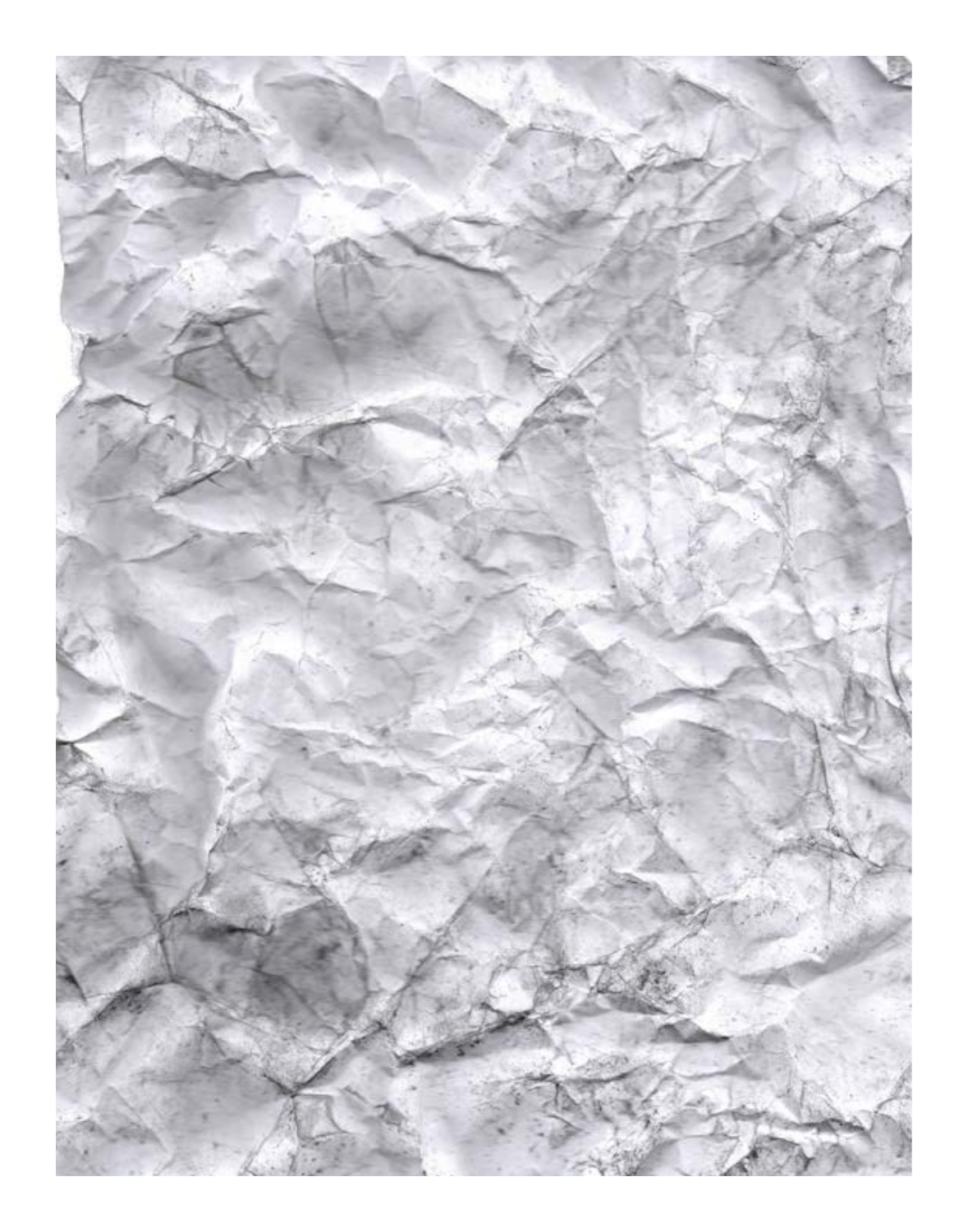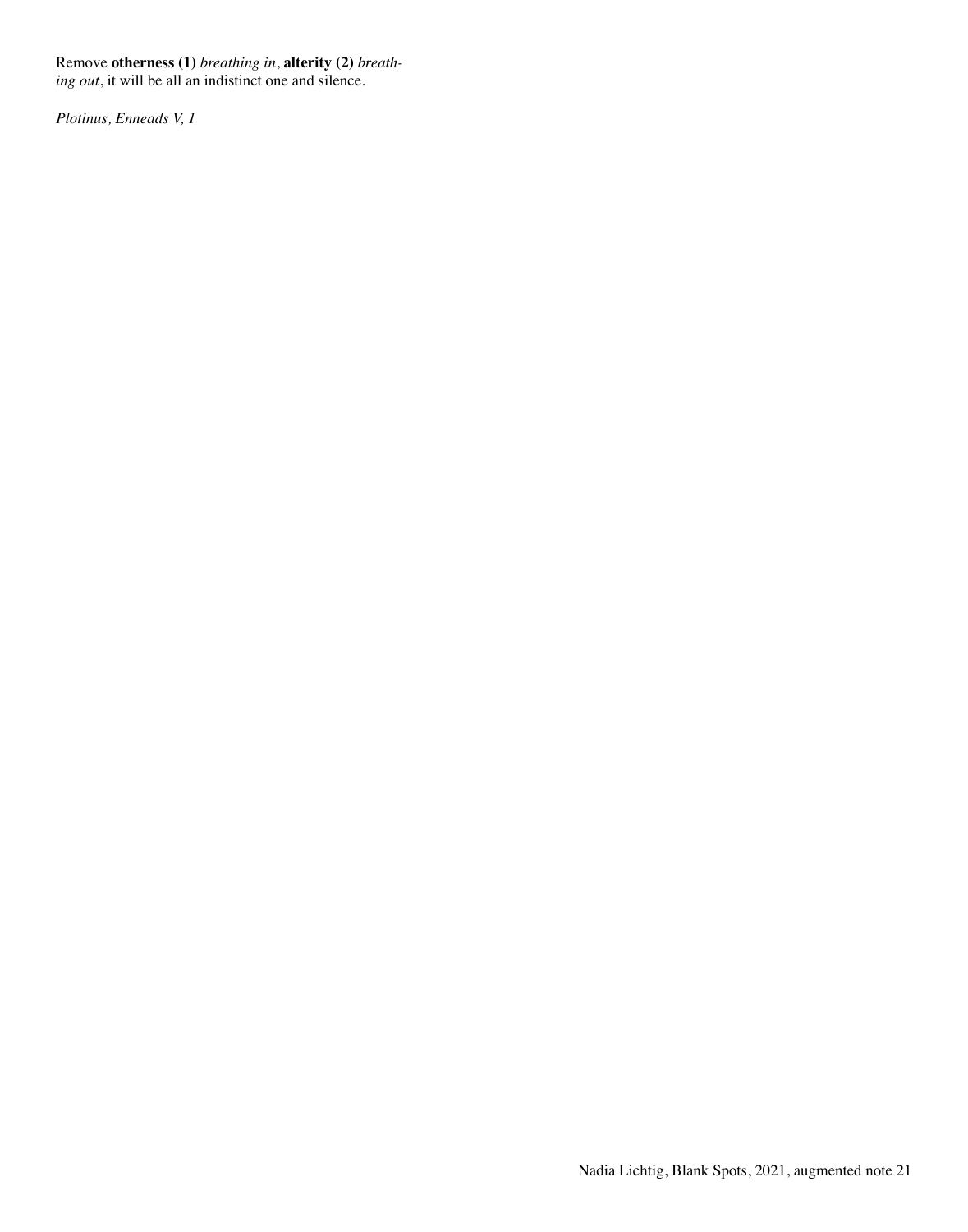Remove **otherness (1)** *breathing in*, **alterity (2)** *breathing out*, it will be all an indistinct one and silence.

*Plotinus, Enneads V, 1*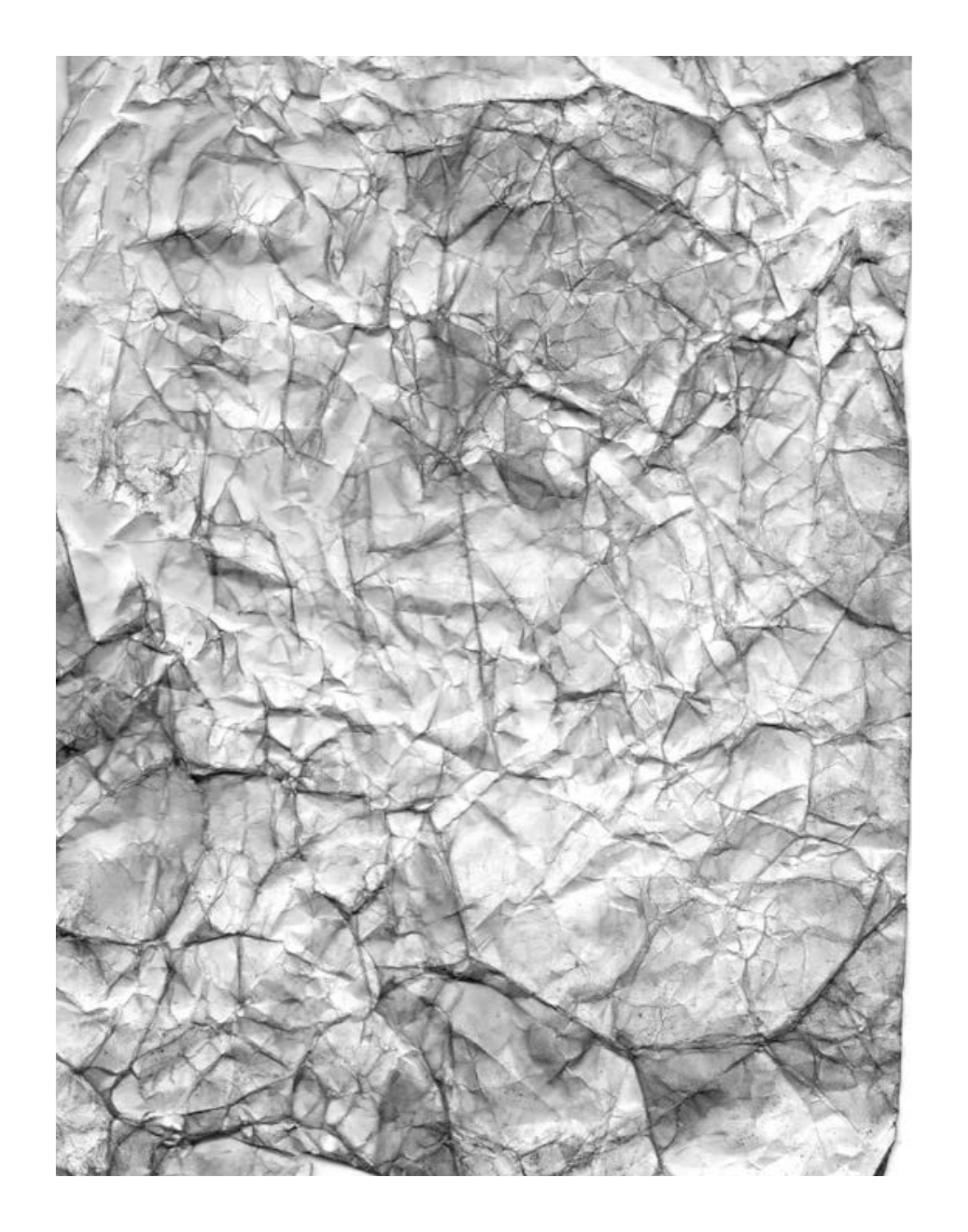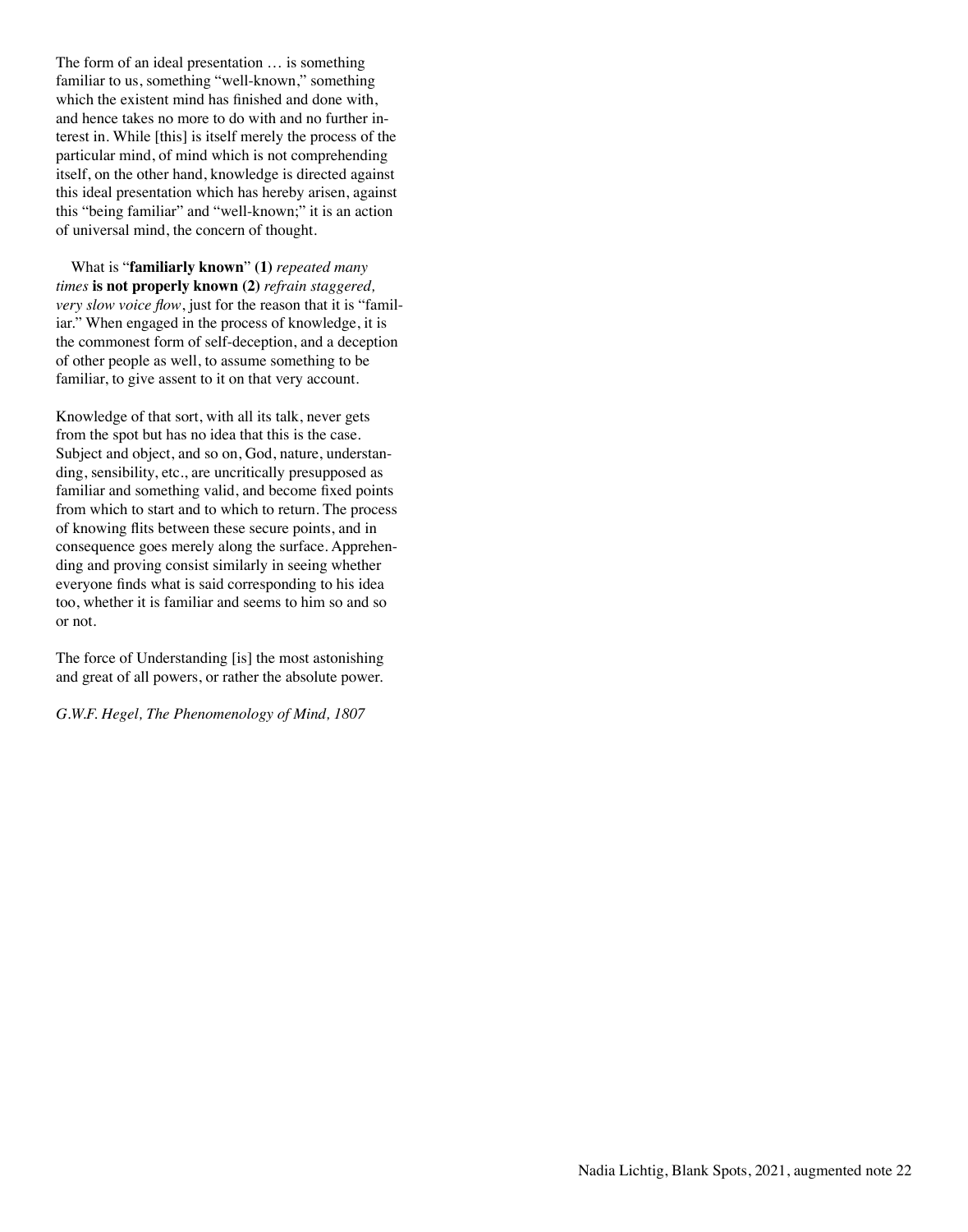The form of an ideal presentation … is something familiar to us, something "well-known," something which the existent mind has finished and done with, and hence takes no more to do with and no further interest in. While [this] is itself merely the process of the particular mind, of mind which is not comprehending itself, on the other hand, knowledge is directed against this ideal presentation which has hereby arisen, against this "being familiar" and "well-known;" it is an action of universal mind, the concern of thought.

 What is "**familiarly known**" **(1)** *repeated many times* **is not properly known (2)** *refrain staggered, very slow voice flow*, just for the reason that it is "familiar." When engaged in the process of knowledge, it is the commonest form of self-deception, and a deception of other people as well, to assume something to be familiar, to give assent to it on that very account.

Knowledge of that sort, with all its talk, never gets from the spot but has no idea that this is the case. Subject and object, and so on, God, nature, understanding, sensibility, etc., are uncritically presupposed as familiar and something valid, and become fixed points from which to start and to which to return. The process of knowing flits between these secure points, and in consequence goes merely along the surface. Apprehending and proving consist similarly in seeing whether everyone finds what is said corresponding to his idea too, whether it is familiar and seems to him so and so or not.

The force of Understanding [is] the most astonishing and great of all powers, or rather the absolute power.

*G.W.F. Hegel, The Phenomenology of Mind, 1807*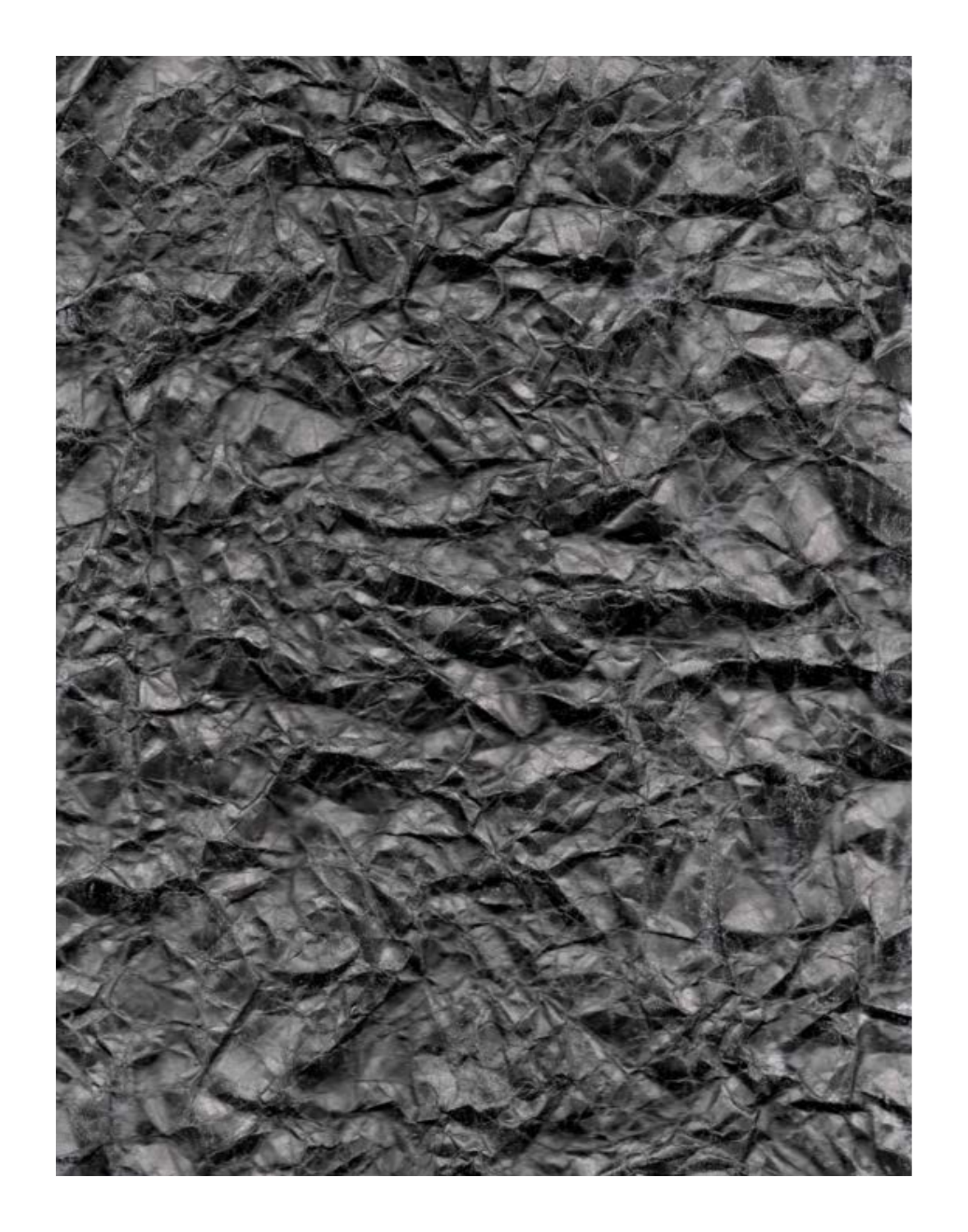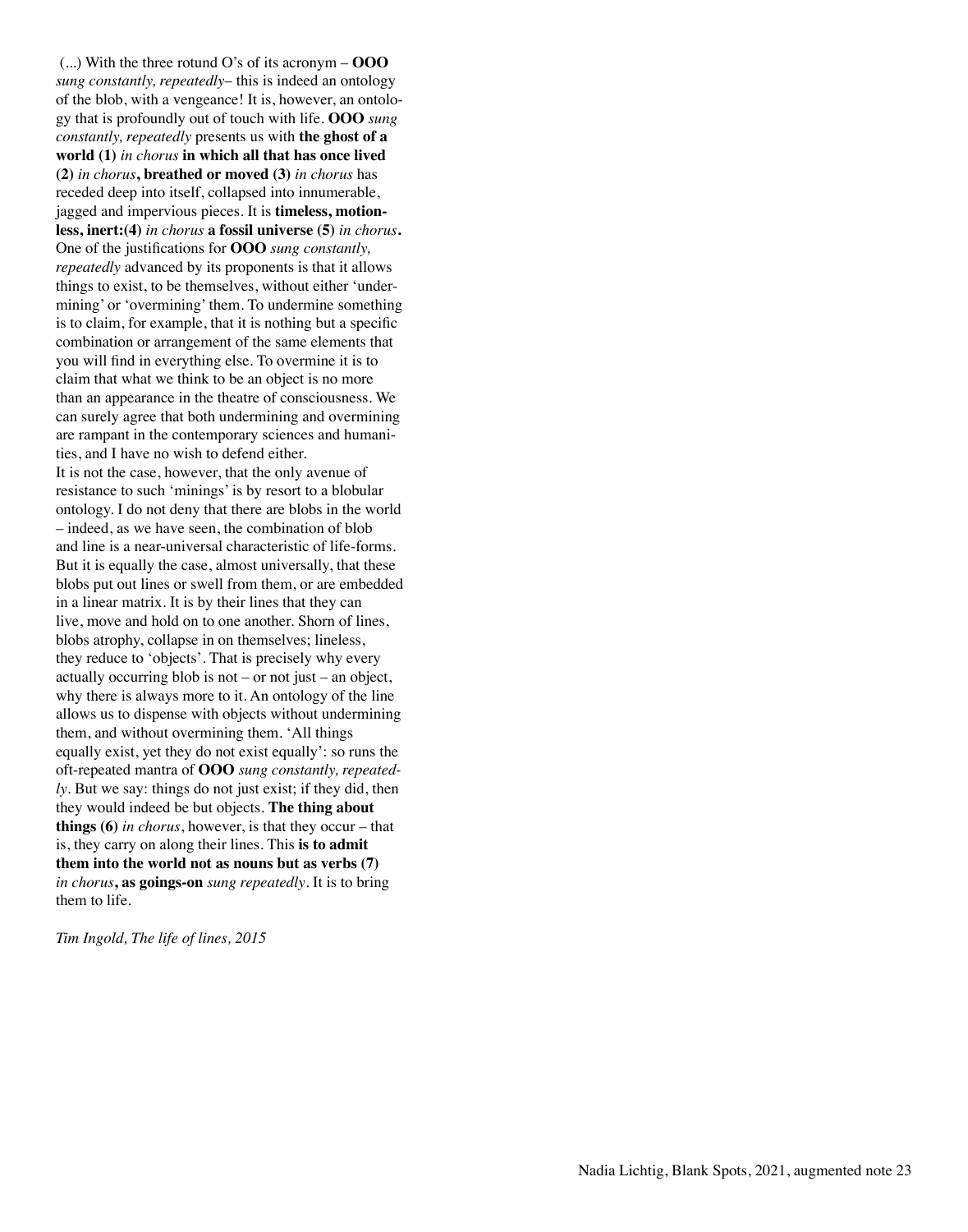(...) With the three rotund O's of its acronym – **OOO** *sung constantly, repeatedly*– this is indeed an ontology of the blob, with a vengeance! It is, however, an ontology that is profoundly out of touch with life. **OOO** *sung constantly, repeatedly* presents us with **the ghost of a world (1)** *in chorus* **in which all that has once lived (2)** *in chorus***, breathed or moved (3)** *in chorus* has receded deep into itself, collapsed into innumerable, jagged and impervious pieces. It is **timeless, motionless, inert:(4)** *in chorus* **a fossil universe (5)** *in chorus***.** One of the justifications for **OOO** *sung constantly, repeatedly* advanced by its proponents is that it allows things to exist, to be themselves, without either 'undermining' or 'overmining' them. To undermine something is to claim, for example, that it is nothing but a specific combination or arrangement of the same elements that you will find in everything else. To overmine it is to claim that what we think to be an object is no more than an appearance in the theatre of consciousness. We can surely agree that both undermining and overmining are rampant in the contemporary sciences and humanities, and I have no wish to defend either. It is not the case, however, that the only avenue of resistance to such 'minings' is by resort to a blobular ontology. I do not deny that there are blobs in the world – indeed, as we have seen, the combination of blob and line is a near-universal characteristic of life-forms. But it is equally the case, almost universally, that these blobs put out lines or swell from them, or are embedded in a linear matrix. It is by their lines that they can live, move and hold on to one another. Shorn of lines, blobs atrophy, collapse in on themselves; lineless, they reduce to 'objects'. That is precisely why every actually occurring blob is not – or not just – an object, why there is always more to it. An ontology of the line allows us to dispense with objects without undermining them, and without overmining them. 'All things equally exist, yet they do not exist equally': so runs the oft-repeated mantra of **OOO** *sung constantly, repeatedly*. But we say: things do not just exist; if they did, then they would indeed be but objects. **The thing about things (6)** *in chorus*, however, is that they occur – that is, they carry on along their lines. This **is to admit them into the world not as nouns but as verbs (7)**  *in chorus***, as goings-on** *sung repeatedly*. It is to bring them to life.

*Tim Ingold, The life of lines, 2015*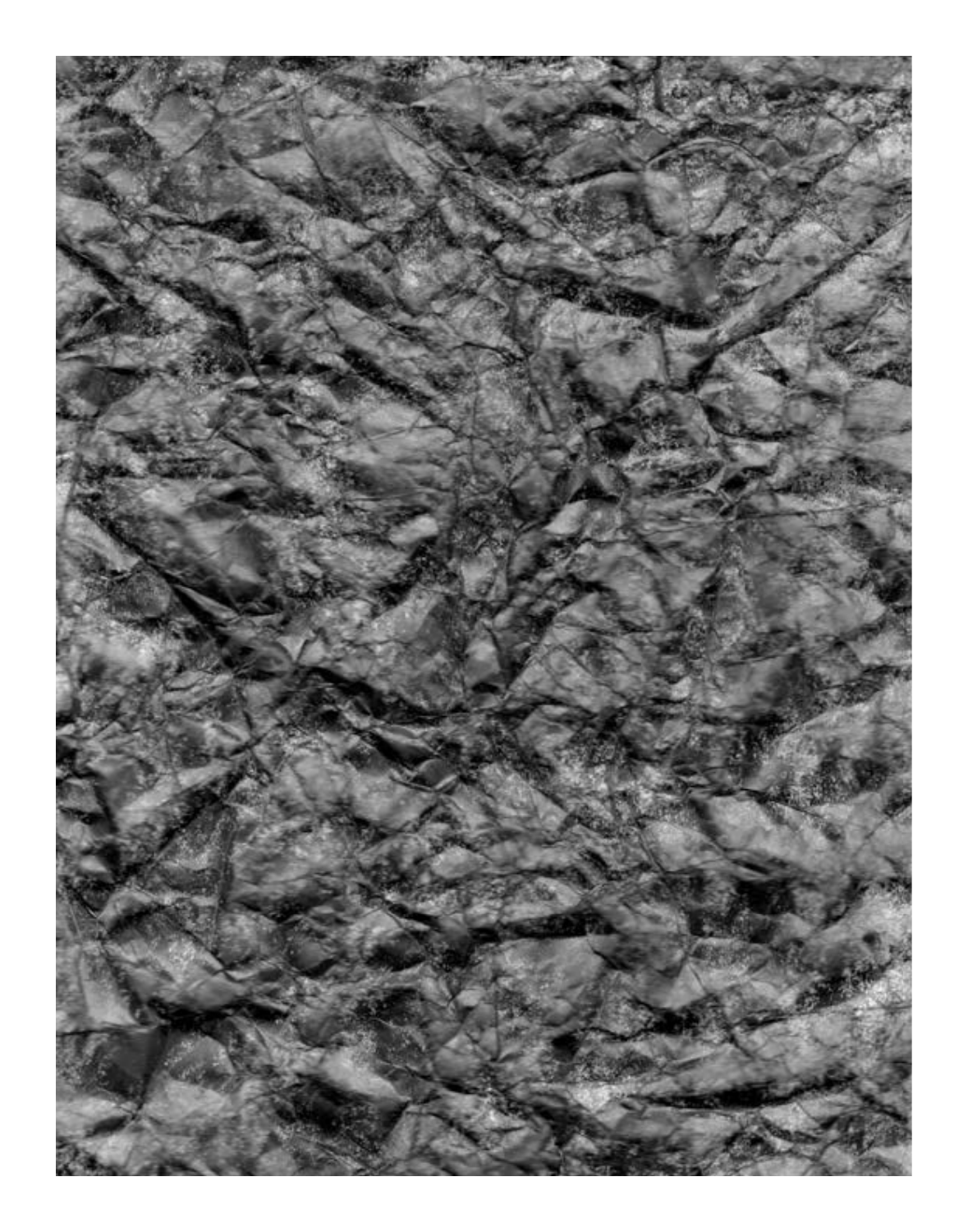